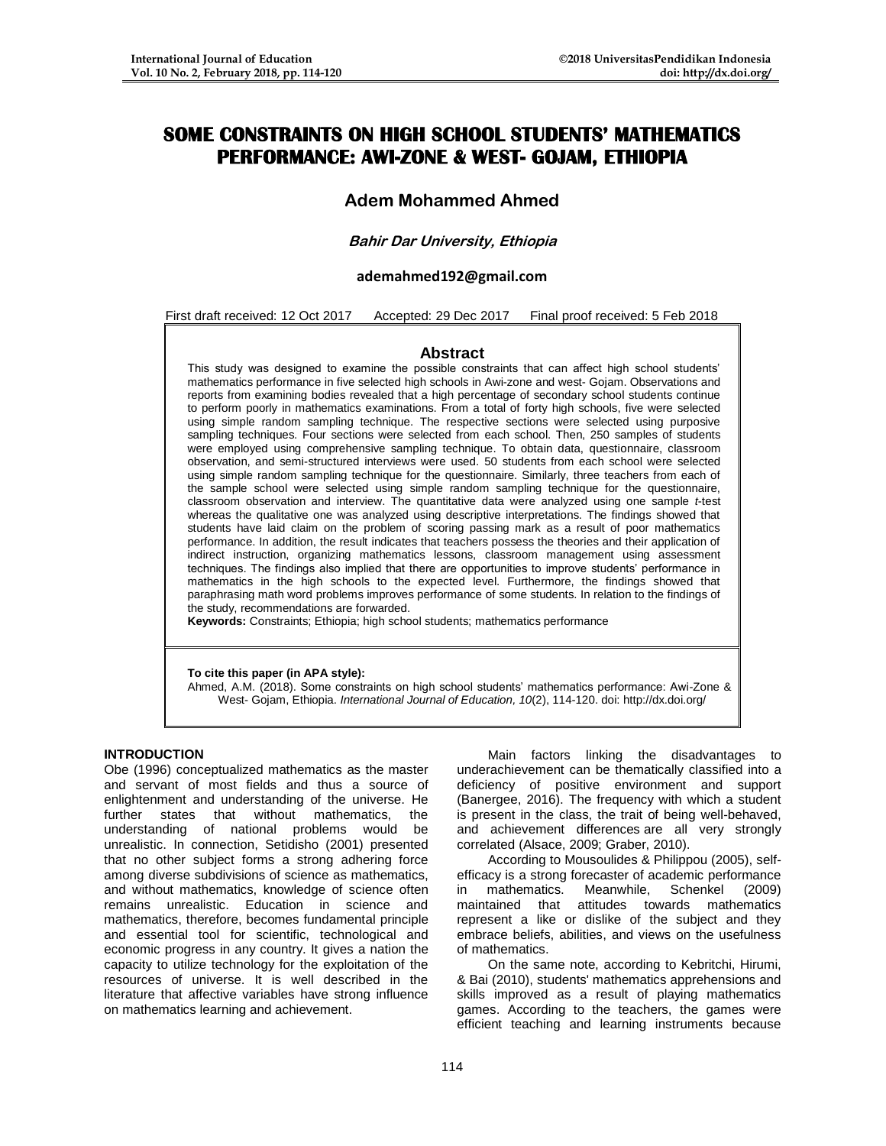# **SOME CONSTRAINTS ON HIGH SCHOOL STUDENTS' MATHEMATICS PERFORMANCE: AWI-ZONE & WEST- GOJAM, ETHIOPIA**

## **Adem Mohammed Ahmed**

## **Bahir Dar University, Ethiopia**

#### **ademahmed192@gmail.com**

First draft received: 12 Oct 2017 Accepted: 29 Dec 2017 Final proof received: 5 Feb 2018

#### **Abstract**

This study was designed to examine the possible constraints that can affect high school students' mathematics performance in five selected high schools in Awi-zone and west- Gojam. Observations and reports from examining bodies revealed that a high percentage of secondary school students continue to perform poorly in mathematics examinations. From a total of forty high schools, five were selected using simple random sampling technique. The respective sections were selected using purposive sampling techniques. Four sections were selected from each school. Then, 250 samples of students were employed using comprehensive sampling technique. To obtain data, questionnaire, classroom observation, and semi-structured interviews were used. 50 students from each school were selected using simple random sampling technique for the questionnaire. Similarly, three teachers from each of the sample school were selected using simple random sampling technique for the questionnaire, classroom observation and interview. The quantitative data were analyzed using one sample *t*-test whereas the qualitative one was analyzed using descriptive interpretations. The findings showed that students have laid claim on the problem of scoring passing mark as a result of poor mathematics performance. In addition, the result indicates that teachers possess the theories and their application of indirect instruction, organizing mathematics lessons, classroom management using assessment techniques. The findings also implied that there are opportunities to improve students' performance in mathematics in the high schools to the expected level. Furthermore, the findings showed that paraphrasing math word problems improves performance of some students. In relation to the findings of the study, recommendations are forwarded.

**Keywords:** Constraints; Ethiopia; high school students; mathematics performance

#### **To cite this paper (in APA style):**

Ahmed, A.M. (2018). Some constraints on high school students' mathematics performance: Awi-Zone & West- Gojam, Ethiopia. *International Journal of Education, 10*(2), 114-120. doi: http://dx.doi.org/

#### **INTRODUCTION**

Obe (1996) conceptualized mathematics as the master and servant of most fields and thus a source of enlightenment and understanding of the universe. He further states that without mathematics, the understanding of national problems would be unrealistic. In connection, Setidisho (2001) presented that no other subject forms a strong adhering force among diverse subdivisions of science as mathematics, and without mathematics, knowledge of science often remains unrealistic. Education in science and mathematics, therefore, becomes fundamental principle and essential tool for scientific, technological and economic progress in any country. It gives a nation the capacity to utilize technology for the exploitation of the resources of universe. It is well described in the literature that affective variables have strong influence on mathematics learning and achievement.

Main factors linking the disadvantages to underachievement can be thematically classified into a deficiency of positive environment and support (Banergee, 2016). The frequency with which a student is present in the class, the trait of being well-behaved, and achievement differences are all very strongly correlated (Alsace, 2009; Graber, 2010).

According to Mousoulides & Philippou (2005), selfefficacy is a strong forecaster of academic performance in mathematics. Meanwhile, Schenkel (2009) maintained that attitudes towards mathematics represent a like or dislike of the subject and they embrace beliefs, abilities, and views on the usefulness of mathematics.

On the same note, according to Kebritchi, Hirumi, & Bai (2010), students' mathematics apprehensions and skills improved as a result of playing mathematics games. According to the teachers, the games were efficient teaching and learning instruments because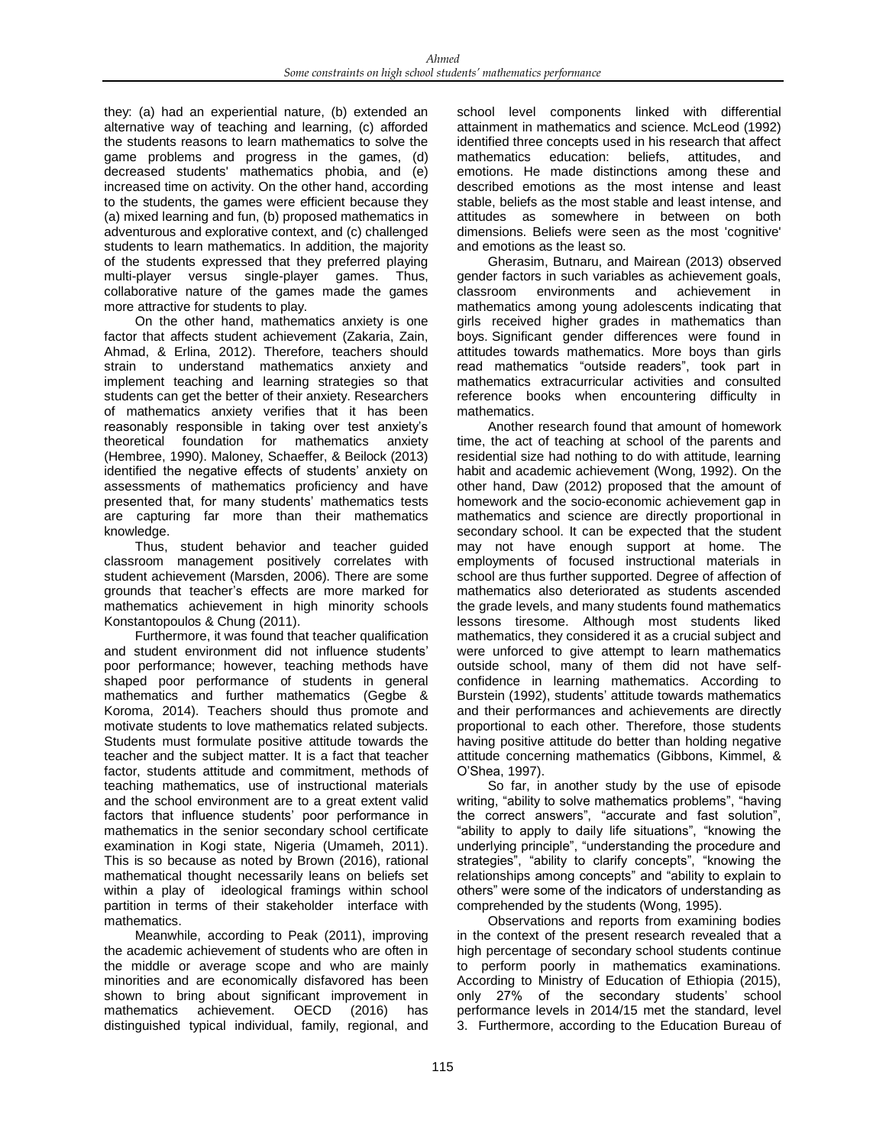they: (a) had an experiential nature, (b) extended an alternative way of teaching and learning, (c) afforded the students reasons to learn mathematics to solve the game problems and progress in the games, (d) decreased students' mathematics phobia, and (e) increased time on activity. On the other hand, according to the students, the games were efficient because they (a) mixed learning and fun, (b) proposed mathematics in adventurous and explorative context, and (c) challenged students to learn mathematics. In addition, the majority of the students expressed that they preferred playing multi-player versus single-player games. Thus, collaborative nature of the games made the games more attractive for students to play.

On the other hand, mathematics anxiety is one factor that affects student achievement (Zakaria, Zain, Ahmad, & Erlina, 2012). Therefore, teachers should strain to understand mathematics anxiety and implement teaching and learning strategies so that students can get the better of their anxiety. Researchers of mathematics anxiety verifies that it has been reasonably responsible in taking over test anxiety's theoretical foundation for mathematics anxiety (Hembree, 1990). Maloney, Schaeffer, & Beilock (2013) identified the negative effects of students' anxiety on assessments of mathematics proficiency and have presented that, for many students' mathematics tests are capturing far more than their mathematics knowledge.

Thus, student behavior and teacher guided classroom management positively correlates with student achievement (Marsden, 2006). There are some grounds that teacher's effects are more marked for mathematics achievement in high minority schools Konstantopoulos & Chung (2011).

Furthermore, it was found that teacher qualification and student environment did not influence students' poor performance; however, teaching methods have shaped poor performance of students in general mathematics and further mathematics (Gegbe & Koroma, 2014). Teachers should thus promote and motivate students to love mathematics related subjects. Students must formulate positive attitude towards the teacher and the subject matter. It is a fact that teacher factor, students attitude and commitment, methods of teaching mathematics, use of instructional materials and the school environment are to a great extent valid factors that influence students' poor performance in mathematics in the senior secondary school certificate examination in Kogi state, Nigeria (Umameh, 2011). This is so because as noted by Brown (2016), rational mathematical thought necessarily leans on beliefs set within a play of ideological framings within school partition in terms of their stakeholder interface with mathematics.

Meanwhile, according to Peak (2011), improving the academic achievement of students who are often in the middle or average scope and who are mainly minorities and are economically disfavored has been shown to bring about significant improvement in mathematics achievement. OECD (2016) has distinguished typical individual, family, regional, and

school level components linked with differential attainment in mathematics and science. McLeod (1992) identified three concepts used in his research that affect mathematics education: beliefs, attitudes, and emotions. He made distinctions among these and described emotions as the most intense and least stable, beliefs as the most stable and least intense, and attitudes as somewhere in between on both dimensions. Beliefs were seen as the most 'cognitive' and emotions as the least so.

Gherasim, Butnaru, and Mairean (2013) observed gender factors in such variables as achievement goals, classroom environments and achievement in mathematics among young adolescents indicating that girls received higher grades in mathematics than boys. Significant gender differences were found in attitudes towards mathematics. More boys than girls read mathematics "outside readers", took part in mathematics extracurricular activities and consulted reference books when encountering difficulty in mathematics.

Another research found that amount of homework time, the act of teaching at school of the parents and residential size had nothing to do with attitude, learning habit and academic achievement (Wong, 1992). On the other hand, Daw (2012) proposed that the amount of homework and the socio-economic achievement gap in mathematics and science are directly proportional in secondary school. It can be expected that the student may not have enough support at home. The employments of focused instructional materials in school are thus further supported. Degree of affection of mathematics also deteriorated as students ascended the grade levels, and many students found mathematics lessons tiresome. Although most students liked mathematics, they considered it as a crucial subject and were unforced to give attempt to learn mathematics outside school, many of them did not have selfconfidence in learning mathematics. According to Burstein (1992), students' attitude towards mathematics and their performances and achievements are directly proportional to each other. Therefore, those students having positive attitude do better than holding negative attitude concerning mathematics (Gibbons, Kimmel, & O'Shea, 1997).

So far, in another study by the use of episode writing, "ability to solve mathematics problems", "having the correct answers", "accurate and fast solution", "ability to apply to daily life situations", "knowing the underlying principle", "understanding the procedure and strategies", "ability to clarify concepts", "knowing the relationships among concepts" and "ability to explain to others" were some of the indicators of understanding as comprehended by the students (Wong, 1995).

Observations and reports from examining bodies in the context of the present research revealed that a high percentage of secondary school students continue to perform poorly in mathematics examinations. According to Ministry of Education of Ethiopia (2015), only 27% of the secondary students' school performance levels in 2014/15 met the standard, level 3. Furthermore, according to the Education Bureau of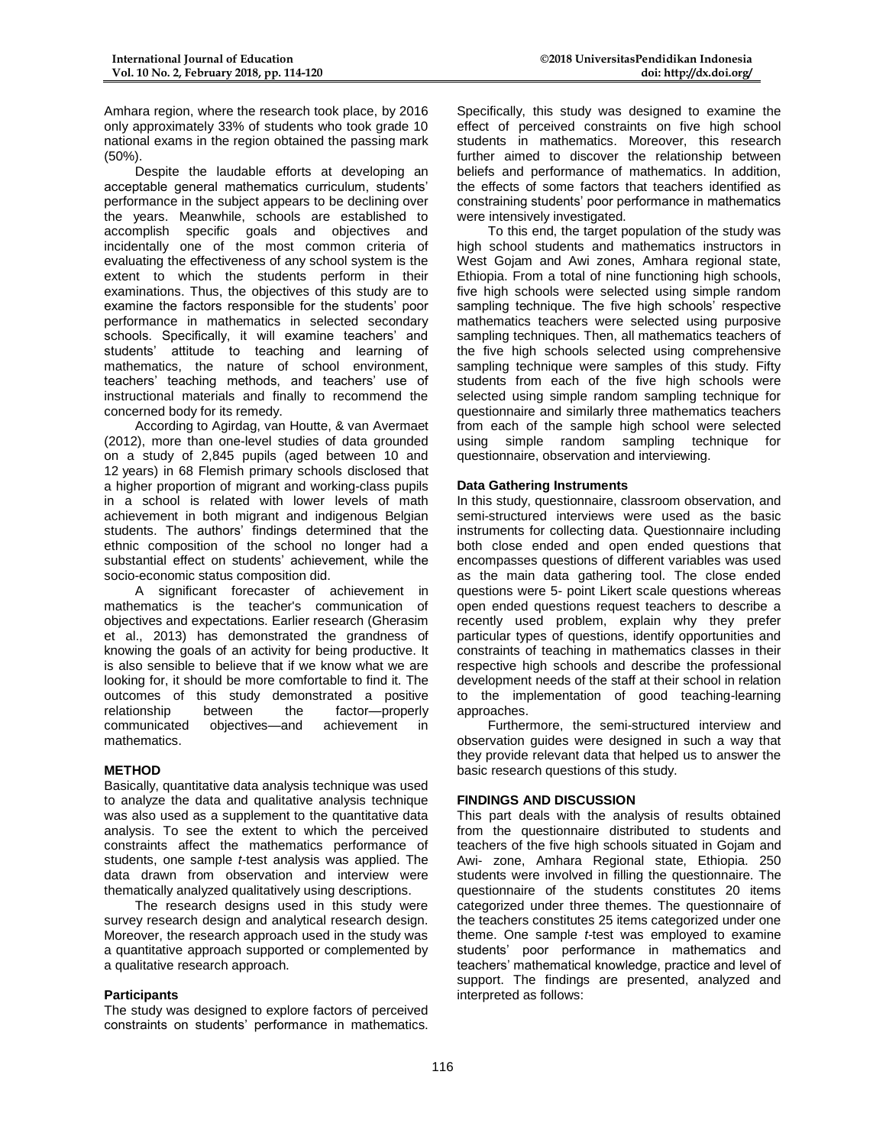Amhara region, where the research took place, by 2016 only approximately 33% of students who took grade 10 national exams in the region obtained the passing mark (50%).

Despite the laudable efforts at developing an acceptable general mathematics curriculum, students' performance in the subject appears to be declining over the years. Meanwhile, schools are established to accomplish specific goals and objectives and incidentally one of the most common criteria of evaluating the effectiveness of any school system is the extent to which the students perform in their examinations. Thus, the objectives of this study are to examine the factors responsible for the students' poor performance in mathematics in selected secondary schools. Specifically, it will examine teachers' and students' attitude to teaching and learning of mathematics, the nature of school environment, teachers' teaching methods, and teachers' use of instructional materials and finally to recommend the concerned body for its remedy.

According to Agirdag, van Houtte, & van Avermaet (2012), more than one-level studies of data grounded on a study of 2,845 pupils (aged between 10 and 12 years) in 68 Flemish primary schools disclosed that a higher proportion of migrant and working-class pupils in a school is related with lower levels of math achievement in both migrant and indigenous Belgian students. The authors' findings determined that the ethnic composition of the school no longer had a substantial effect on students' achievement, while the socio-economic status composition did.

A significant forecaster of achievement in mathematics is the teacher's communication of objectives and expectations. Earlier research (Gherasim et al., 2013) has demonstrated the grandness of knowing the goals of an activity for being productive. It is also sensible to believe that if we know what we are looking for, it should be more comfortable to find it. The outcomes of this study demonstrated a positive relationship between the factor—properly communicated objectives—and achievement in mathematics.

#### **METHOD**

Basically, quantitative data analysis technique was used to analyze the data and qualitative analysis technique was also used as a supplement to the quantitative data analysis. To see the extent to which the perceived constraints affect the mathematics performance of students, one sample *t*-test analysis was applied. The data drawn from observation and interview were thematically analyzed qualitatively using descriptions.

The research designs used in this study were survey research design and analytical research design. Moreover, the research approach used in the study was a quantitative approach supported or complemented by a qualitative research approach.

#### **Participants**

The study was designed to explore factors of perceived constraints on students' performance in mathematics.

Specifically, this study was designed to examine the effect of perceived constraints on five high school students in mathematics. Moreover, this research further aimed to discover the relationship between beliefs and performance of mathematics. In addition, the effects of some factors that teachers identified as constraining students' poor performance in mathematics were intensively investigated.

To this end, the target population of the study was high school students and mathematics instructors in West Gojam and Awi zones, Amhara regional state, Ethiopia. From a total of nine functioning high schools, five high schools were selected using simple random sampling technique. The five high schools' respective mathematics teachers were selected using purposive sampling techniques. Then, all mathematics teachers of the five high schools selected using comprehensive sampling technique were samples of this study. Fifty students from each of the five high schools were selected using simple random sampling technique for questionnaire and similarly three mathematics teachers from each of the sample high school were selected using simple random sampling technique for questionnaire, observation and interviewing.

#### **Data Gathering Instruments**

In this study, questionnaire, classroom observation, and semi-structured interviews were used as the basic instruments for collecting data. Questionnaire including both close ended and open ended questions that encompasses questions of different variables was used as the main data gathering tool. The close ended questions were 5- point Likert scale questions whereas open ended questions request teachers to describe a recently used problem, explain why they prefer particular types of questions, identify opportunities and constraints of teaching in mathematics classes in their respective high schools and describe the professional development needs of the staff at their school in relation to the implementation of good teaching-learning approaches.

Furthermore, the semi-structured interview and observation guides were designed in such a way that they provide relevant data that helped us to answer the basic research questions of this study.

### **FINDINGS AND DISCUSSION**

This part deals with the analysis of results obtained from the questionnaire distributed to students and teachers of the five high schools situated in Gojam and Awi- zone, Amhara Regional state, Ethiopia. 250 students were involved in filling the questionnaire. The questionnaire of the students constitutes 20 items categorized under three themes. The questionnaire of the teachers constitutes 25 items categorized under one theme. One sample *t*-test was employed to examine students' poor performance in mathematics and teachers' mathematical knowledge, practice and level of support. The findings are presented, analyzed and interpreted as follows: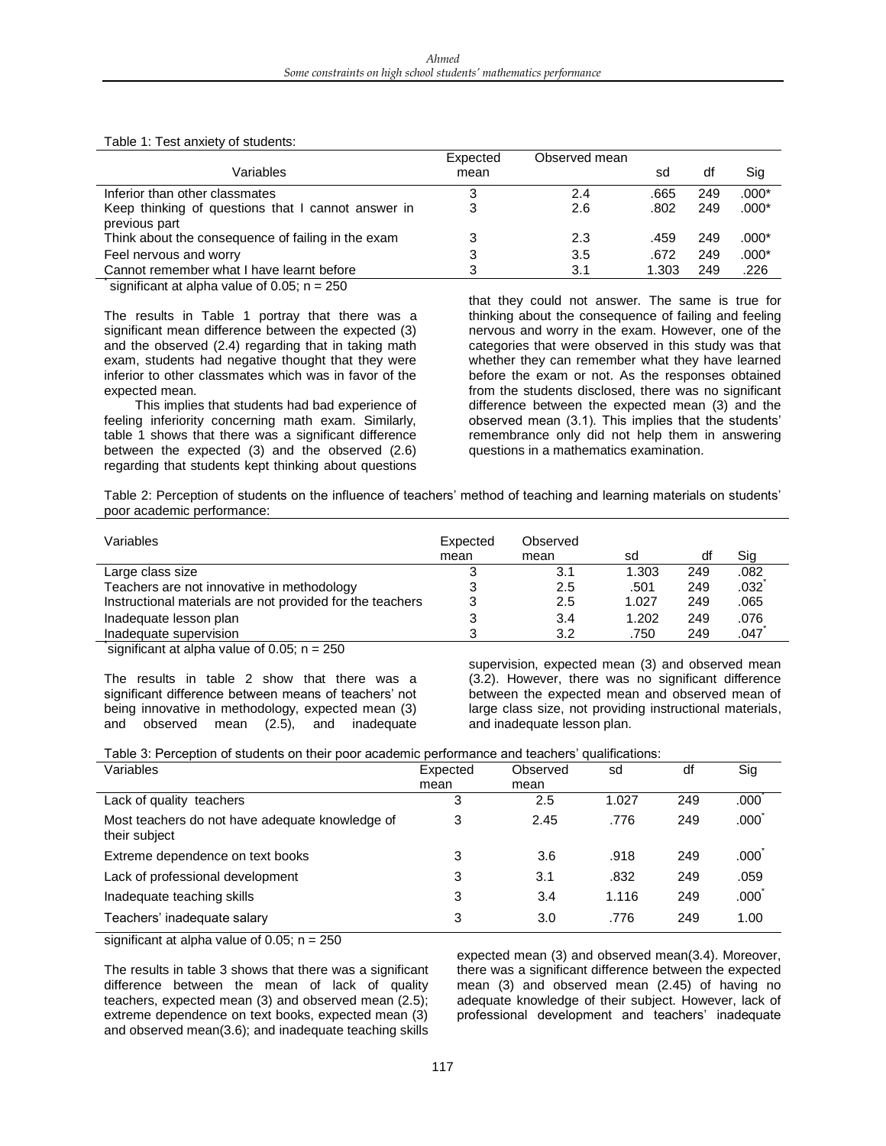|                                                                                                                         | Expected | Observed mean |       |     |         |
|-------------------------------------------------------------------------------------------------------------------------|----------|---------------|-------|-----|---------|
| Variables                                                                                                               | mean     |               | sd    | df  | Sig     |
| Inferior than other classmates                                                                                          |          | 2.4           | .665  | 249 | $.000*$ |
| Keep thinking of questions that I cannot answer in                                                                      | 3        | 2.6           | .802  | 249 | $.000*$ |
| previous part                                                                                                           |          |               |       |     |         |
| Think about the consequence of failing in the exam                                                                      |          | 2.3           | .459  | 249 | :000*   |
| Feel nervous and worry                                                                                                  |          | 3.5           | .672  | 249 | .000*   |
| Cannot remember what I have learnt before                                                                               | 3        | 3.1           | 1.303 | 249 | .226    |
| $\mathcal{L}$ . The set of the set of $\mathcal{L}$ of $\mathcal{L}$ of $\mathcal{L}$ of $\mathcal{L}$ of $\mathcal{L}$ |          |               |       |     |         |

significant at alpha value of 0.05;  $n = 250$ 

The results in Table 1 portray that there was a significant mean difference between the expected (3) and the observed (2.4) regarding that in taking math exam, students had negative thought that they were inferior to other classmates which was in favor of the expected mean.

This implies that students had bad experience of feeling inferiority concerning math exam. Similarly, table 1 shows that there was a significant difference between the expected (3) and the observed (2.6) regarding that students kept thinking about questions that they could not answer. The same is true for thinking about the consequence of failing and feeling nervous and worry in the exam. However, one of the categories that were observed in this study was that whether they can remember what they have learned before the exam or not. As the responses obtained from the students disclosed, there was no significant difference between the expected mean (3) and the observed mean (3.1). This implies that the students' remembrance only did not help them in answering questions in a mathematics examination.

Table 2: Perception of students on the influence of teachers' method of teaching and learning materials on students' poor academic performance:

| Variables                                                 | Expected<br>mean | Observed<br>mean | sd    | df  | Sig  |
|-----------------------------------------------------------|------------------|------------------|-------|-----|------|
| Large class size                                          | د                | 3.1              | 1.303 | 249 | .082 |
| Teachers are not innovative in methodology                |                  | 2.5              | .501  | 249 | .032 |
| Instructional materials are not provided for the teachers |                  | 2.5              | 1.027 | 249 | .065 |
| Inadequate lesson plan                                    |                  | 3.4              | 1.202 | 249 | .076 |
| Inadequate supervision                                    | ?                | 3.2              | .750  | 249 | .047 |

significant at alpha value of 0.05;  $n = 250$ 

The results in table 2 show that there was a significant difference between means of teachers' not being innovative in methodology, expected mean (3) and observed mean (2.5), and inadequate

supervision, expected mean (3) and observed mean (3.2). However, there was no significant difference between the expected mean and observed mean of large class size, not providing instructional materials, and inadequate lesson plan.

| Table 3: Perception of students on their poor academic performance and teachers' qualifications: |  |  |  |
|--------------------------------------------------------------------------------------------------|--|--|--|
|--------------------------------------------------------------------------------------------------|--|--|--|

| Variables                                                        | Expected | Observed | sd    | df  | Sig               |
|------------------------------------------------------------------|----------|----------|-------|-----|-------------------|
|                                                                  | mean     | mean     |       |     |                   |
| Lack of quality teachers                                         | 3        | 2.5      | 1.027 | 249 | .000              |
| Most teachers do not have adequate knowledge of<br>their subject | 3        | 2.45     | .776  | 249 | .000 <sup>°</sup> |
| Extreme dependence on text books                                 | 3        | 3.6      | .918  | 249 | .000 <sup>°</sup> |
| Lack of professional development                                 | 3        | 3.1      | .832  | 249 | .059              |
| Inadequate teaching skills                                       | 3        | 3.4      | 1.116 | 249 | .000              |
| Teachers' inadequate salary                                      | 3        | 3.0      | .776  | 249 | 1.00              |

significant at alpha value of 0.05;  $n = 250$ 

The results in table 3 shows that there was a significant difference between the mean of lack of quality teachers, expected mean (3) and observed mean (2.5); extreme dependence on text books, expected mean (3) and observed mean(3.6); and inadequate teaching skills

expected mean (3) and observed mean(3.4). Moreover, there was a significant difference between the expected mean (3) and observed mean (2.45) of having no adequate knowledge of their subject. However, lack of professional development and teachers' inadequate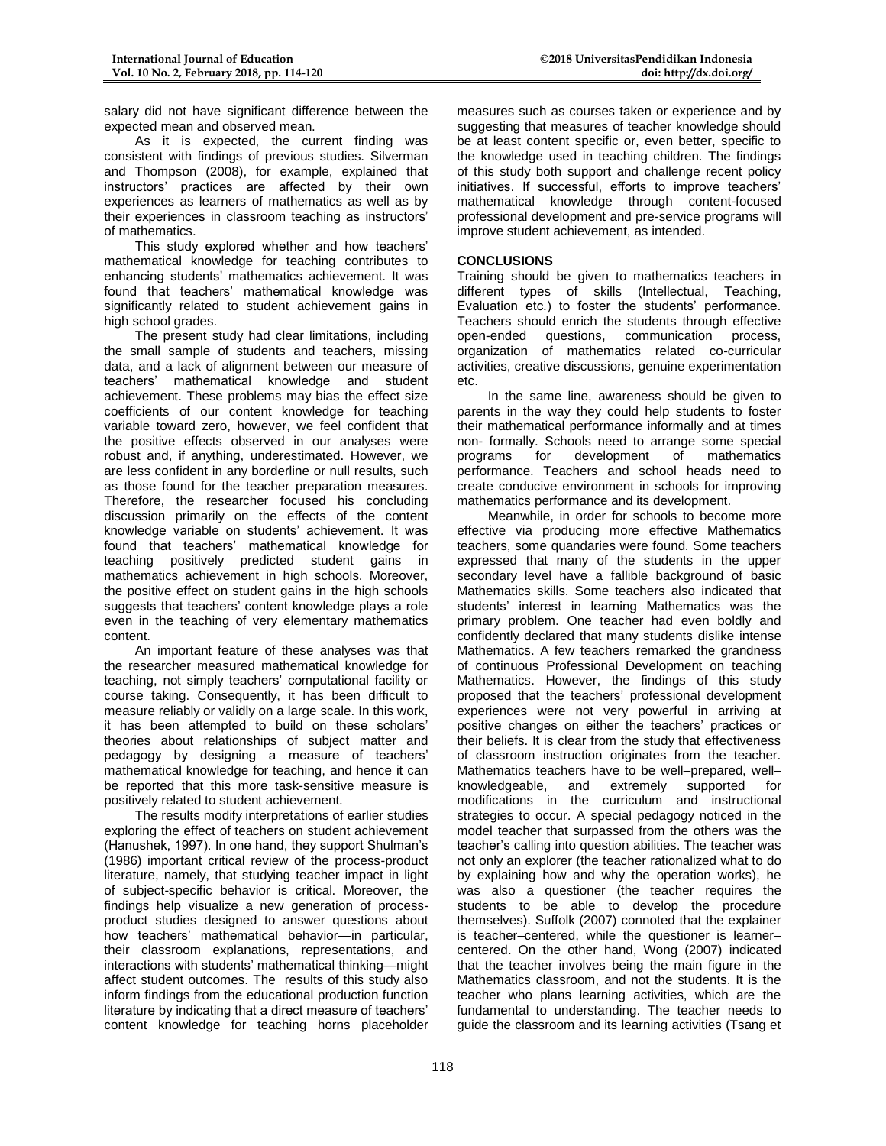salary did not have significant difference between the expected mean and observed mean.

As it is expected, the current finding was consistent with findings of previous studies. Silverman and Thompson (2008), for example, explained that instructors' practices are affected by their own experiences as learners of mathematics as well as by their experiences in classroom teaching as instructors' of mathematics.

This study explored whether and how teachers' mathematical knowledge for teaching contributes to enhancing students' mathematics achievement. It was found that teachers' mathematical knowledge was significantly related to student achievement gains in high school grades.

The present study had clear limitations, including the small sample of students and teachers, missing data, and a lack of alignment between our measure of teachers' mathematical knowledge and student achievement. These problems may bias the effect size coefficients of our content knowledge for teaching variable toward zero, however, we feel confident that the positive effects observed in our analyses were robust and, if anything, underestimated. However, we are less confident in any borderline or null results, such as those found for the teacher preparation measures. Therefore, the researcher focused his concluding discussion primarily on the effects of the content knowledge variable on students' achievement. It was found that teachers' mathematical knowledge for teaching positively predicted student gains in mathematics achievement in high schools. Moreover, the positive effect on student gains in the high schools suggests that teachers' content knowledge plays a role even in the teaching of very elementary mathematics content.

An important feature of these analyses was that the researcher measured mathematical knowledge for teaching, not simply teachers' computational facility or course taking. Consequently, it has been difficult to measure reliably or validly on a large scale. In this work, it has been attempted to build on these scholars' theories about relationships of subject matter and pedagogy by designing a measure of teachers' mathematical knowledge for teaching, and hence it can be reported that this more task-sensitive measure is positively related to student achievement.

The results modify interpretations of earlier studies exploring the effect of teachers on student achievement (Hanushek, 1997). In one hand, they support Shulman's (1986) important critical review of the process-product literature, namely, that studying teacher impact in light of subject-specific behavior is critical. Moreover, the findings help visualize a new generation of processproduct studies designed to answer questions about how teachers' mathematical behavior—in particular, their classroom explanations, representations, and interactions with students' mathematical thinking—might affect student outcomes. The results of this study also inform findings from the educational production function literature by indicating that a direct measure of teachers' content knowledge for teaching horns placeholder

measures such as courses taken or experience and by suggesting that measures of teacher knowledge should be at least content specific or, even better, specific to the knowledge used in teaching children. The findings of this study both support and challenge recent policy initiatives. If successful, efforts to improve teachers' mathematical knowledge through content-focused professional development and pre-service programs will improve student achievement, as intended.

#### **CONCLUSIONS**

Training should be given to mathematics teachers in different types of skills (Intellectual, Teaching, Evaluation etc.) to foster the students' performance. Teachers should enrich the students through effective open-ended questions, communication process, organization of mathematics related co-curricular activities, creative discussions, genuine experimentation etc.

In the same line, awareness should be given to parents in the way they could help students to foster their mathematical performance informally and at times non- formally. Schools need to arrange some special programs for development of mathematics performance. Teachers and school heads need to create conducive environment in schools for improving mathematics performance and its development.

Meanwhile, in order for schools to become more effective via producing more effective Mathematics teachers, some quandaries were found. Some teachers expressed that many of the students in the upper secondary level have a fallible background of basic Mathematics skills. Some teachers also indicated that students' interest in learning Mathematics was the primary problem. One teacher had even boldly and confidently declared that many students dislike intense Mathematics. A few teachers remarked the grandness of continuous Professional Development on teaching Mathematics. However, the findings of this study proposed that the teachers' professional development experiences were not very powerful in arriving at positive changes on either the teachers' practices or their beliefs. It is clear from the study that effectiveness of classroom instruction originates from the teacher. Mathematics teachers have to be well–prepared, well– knowledgeable, and extremely supported for modifications in the curriculum and instructional strategies to occur. A special pedagogy noticed in the model teacher that surpassed from the others was the teacher's calling into question abilities. The teacher was not only an explorer (the teacher rationalized what to do by explaining how and why the operation works), he was also a questioner (the teacher requires the students to be able to develop the procedure themselves). Suffolk (2007) connoted that the explainer is teacher–centered, while the questioner is learner– centered. On the other hand, Wong (2007) indicated that the teacher involves being the main figure in the Mathematics classroom, and not the students. It is the teacher who plans learning activities, which are the fundamental to understanding. The teacher needs to guide the classroom and its learning activities (Tsang et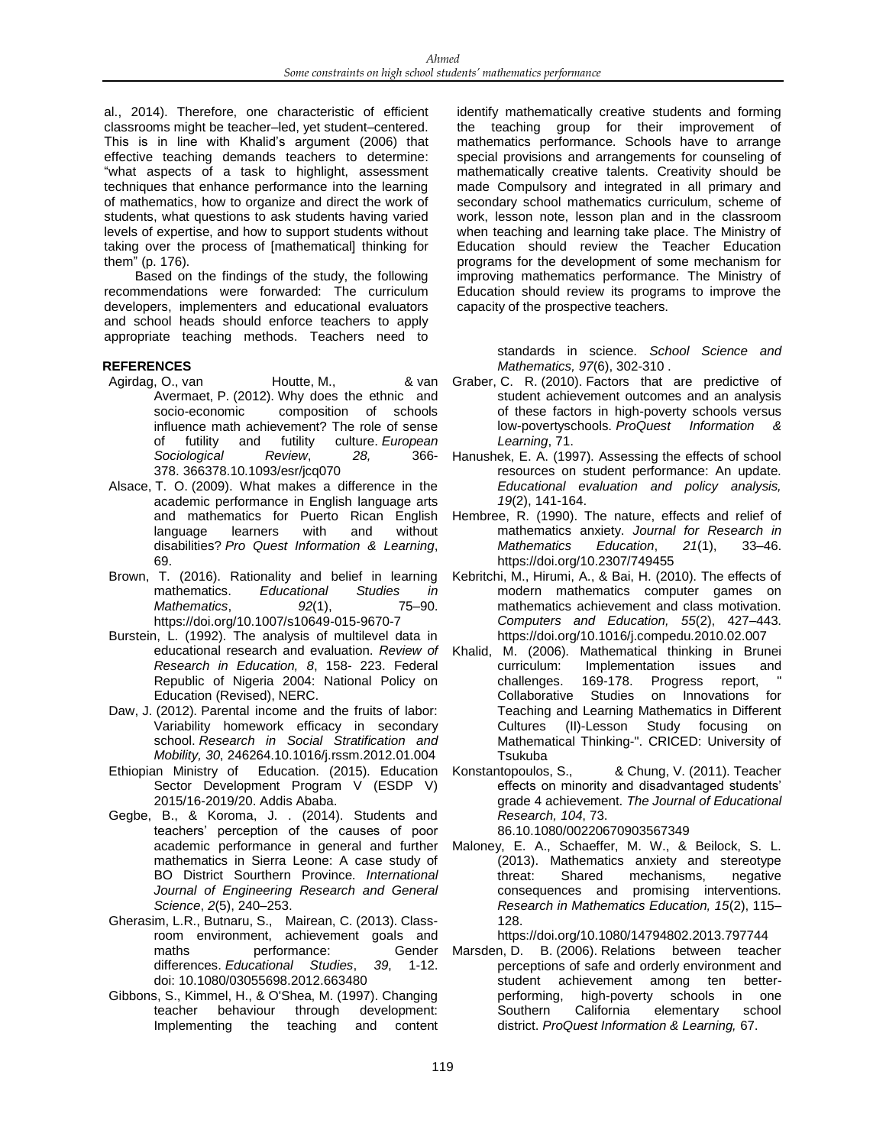al., 2014). Therefore, one characteristic of efficient classrooms might be teacher–led, yet student–centered. This is in line with Khalid's argument (2006) that effective teaching demands teachers to determine: "what aspects of a task to highlight, assessment techniques that enhance performance into the learning of mathematics, how to organize and direct the work of students, what questions to ask students having varied levels of expertise, and how to support students without taking over the process of [mathematical] thinking for them" (p. 176).

Based on the findings of the study, the following recommendations were forwarded: The curriculum developers, implementers and educational evaluators and school heads should enforce teachers to apply appropriate teaching methods. Teachers need to

#### **REFERENCES**

- Agirdag, O., van Houtte, M., 8 van Avermaet, P. (2012). Why does the ethnic and socio-economic composition of schools influence math achievement? The role of sense of futility and futility culture. *European Sociological Review*, *28,* 366- 378. 366378.10.1093/esr/jcq070
- Alsace, T. O. (2009). What makes a difference in the academic performance in English language arts and mathematics for Puerto Rican English language learners with and without disabilities? *Pro Quest Information & Learning*, 69.
- Brown, T. (2016). Rationality and belief in learning mathematics. *Educational Studies in Mathematics*, *92*(1), 75–90. https://doi.org/10.1007/s10649-015-9670-7
- Burstein, L. (1992). The analysis of multilevel data in *Research in Education, 8*, 158- 223. Federal Republic of Nigeria 2004: National Policy on Education (Revised), NERC.
- Daw, J. (2012). Parental income and the fruits of labor: Variability homework efficacy in secondary school. *Research in Social Stratification and Mobility, 30*, 246264.10.1016/j.rssm.2012.01.004
- Ethiopian Ministry of Education. (2015). Education Sector Development Program V (ESDP V) 2015/16-2019/20. Addis Ababa.
- Gegbe, B., & Koroma, J. . (2014). Students and teachers' perception of the causes of poor mathematics in Sierra Leone: A case study of BO District Sourthern Province. *International Journal of Engineering Research and General Science*, *2*(5), 240–253.
- Gherasim, L.R., Butnaru, S., Mairean, C. (2013). Classroom environment, achievement goals and maths **performance:** Gender differences. *Educational Studies*, *39*, 1-12. doi: 10.1080/03055698.2012.663480
- Gibbons, S., Kimmel, H., & O'Shea, M. (1997). Changing teacher behaviour through development: Implementing the teaching and content

identify mathematically creative students and forming the teaching group for their improvement of mathematics performance. Schools have to arrange special provisions and arrangements for counseling of mathematically creative talents. Creativity should be made Compulsory and integrated in all primary and secondary school mathematics curriculum, scheme of work, lesson note, lesson plan and in the classroom when teaching and learning take place. The Ministry of Education should review the Teacher Education programs for the development of some mechanism for improving mathematics performance. The Ministry of Education should review its programs to improve the capacity of the prospective teachers.

standards in science. *School Science and Mathematics, 97*(6), 302-310 .

- Graber, C. R. (2010). Factors that are predictive of student achievement outcomes and an analysis of these factors in high-poverty schools versus low-povertyschools. *ProQuest Information & Learning*, 71.
- Hanushek, E. A. (1997). Assessing the effects of school resources on student performance: An update. *Educational evaluation and policy analysis, 19*(2), 141-164.
- Hembree, R. (1990). The nature, effects and relief of mathematics anxiety. *Journal for Research in Mathematics Education*, *21*(1), 33–46. https://doi.org/10.2307/749455
- Kebritchi, M., Hirumi, A., & Bai, H. (2010). The effects of modern mathematics computer games on mathematics achievement and class motivation. *Computers and Education, 55*(2), 427–443. https://doi.org/10.1016/j.compedu.2010.02.007
- educational research and evaluation. *Review of*  Khalid, M. (2006). Mathematical thinking in Brunei curriculum: Implementation issues and challenges. 169-178. Progress report, Collaborative Studies on Innovations for Teaching and Learning Mathematics in Different Cultures (II)-Lesson Study focusing on Mathematical Thinking-". CRICED: University of Tsukuba
	- Konstantopoulos, S., & Chung, V. (2011). Teacher effects on minority and disadvantaged students' grade 4 achievement. *The Journal of Educational Research, 104*, 73. 86.10.1080/00220670903567349
- academic performance in general and further Maloney, E. A., Schaeffer, M. W., & Beilock, S. L. (2013). Mathematics anxiety and stereotype threat: Shared mechanisms, negative consequences and promising interventions. *Research in Mathematics Education, 15*(2), 115– 128.

https://doi.org/10.1080/14794802.2013.797744

Marsden, D. B. (2006). Relations between teacher perceptions of safe and orderly environment and student achievement among ten betterperforming, high-poverty schools in one<br>Southern California elementary school Southern California elementary school district. *ProQuest Information & Learning,* 67.